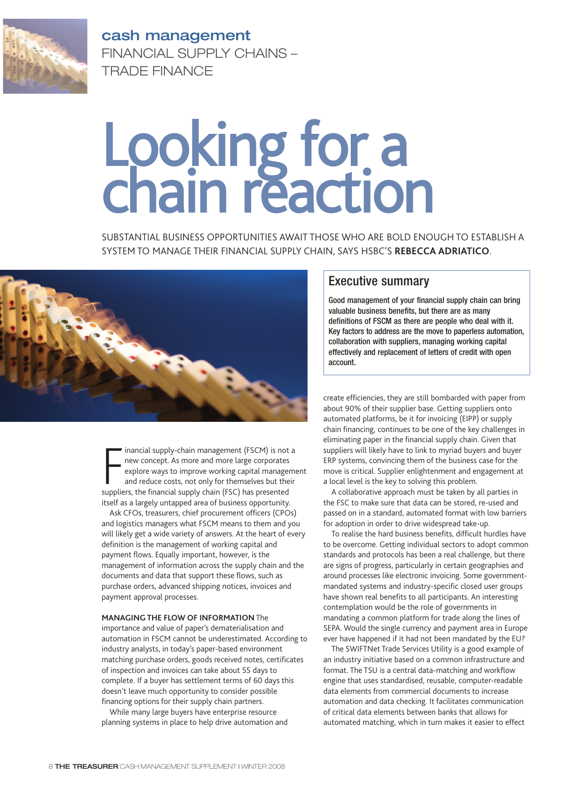

**cash management** FINANCIAL SUPPLY CHAINS – TRADE FINANCE

## Looking for a chain reaction

SUBSTANTIAL BUSINESS OPPORTUNITIES AWAIT THOSE WHO ARE BOLD ENOUGH TO ESTABLISH A SYSTEM TO MANAGE THEIR FINANCIAL SUPPLY CHAIN, SAYS HSBC'S **REBECCA ADRIATICO**.



inancial supply-chain management (FSCM) is not<br>new concept. As more and more large corporates<br>explore ways to improve working capital manage<br>and reduce costs, not only for themselves but the<br>suppliers, the financial supply inancial supply-chain management (FSCM) is not a new concept. As more and more large corporates explore ways to improve working capital management and reduce costs, not only for themselves but their itself as a largely untapped area of business opportunity.

Ask CFOs, treasurers, chief procurement officers (CPOs) and logistics managers what FSCM means to them and you will likely get a wide variety of answers. At the heart of every definition is the management of working capital and payment flows. Equally important, however, is the management of information across the supply chain and the documents and data that support these flows, such as purchase orders, advanced shipping notices, invoices and payment approval processes.

## **MANAGING THE FLOW OF INFORMATION** The

importance and value of paper's dematerialisation and automation in FSCM cannot be underestimated. According to industry analysts, in today's paper-based environment matching purchase orders, goods received notes, certificates of inspection and invoices can take about 55 days to complete. If a buyer has settlement terms of 60 days this doesn't leave much opportunity to consider possible financing options for their supply chain partners.

While many large buyers have enterprise resource planning systems in place to help drive automation and

## Executive summary

Good management of your financial supply chain can bring valuable business benefits, but there are as many definitions of FSCM as there are people who deal with it. Key factors to address are the move to paperless automation, collaboration with suppliers, managing working capital effectively and replacement of letters of credit with open account.

create efficiencies, they are still bombarded with paper from about 90% of their supplier base. Getting suppliers onto automated platforms, be it for invoicing (EIPP) or supply chain financing, continues to be one of the key challenges in eliminating paper in the financial supply chain. Given that suppliers will likely have to link to myriad buyers and buyer ERP systems, convincing them of the business case for the move is critical. Supplier enlightenment and engagement at a local level is the key to solving this problem.

A collaborative approach must be taken by all parties in the FSC to make sure that data can be stored, re-used and passed on in a standard, automated format with low barriers for adoption in order to drive widespread take-up.

To realise the hard business benefits, difficult hurdles have to be overcome. Getting individual sectors to adopt common standards and protocols has been a real challenge, but there are signs of progress, particularly in certain geographies and around processes like electronic invoicing. Some governmentmandated systems and industry-specific closed user groups have shown real benefits to all participants. An interesting contemplation would be the role of governments in mandating a common platform for trade along the lines of SEPA. Would the single currency and payment area in Europe ever have happened if it had not been mandated by the EU?

The SWIFTNet Trade Services Utility is a good example of an industry initiative based on a common infrastructure and format. The TSU is a central data-matching and workflow engine that uses standardised, reusable, computer-readable data elements from commercial documents to increase automation and data checking. It facilitates communication of critical data elements between banks that allows for automated matching, which in turn makes it easier to effect